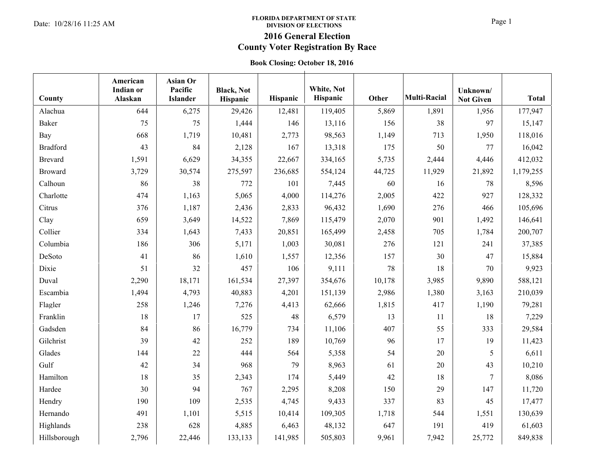### **FLORIDA DEPARTMENT OF STATE**  PLORIDA DEPARTMENT OF STATE<br>Date: 10/28/16 11:25 AM **Page 1 DIVISION OF ELECTIONS DIVISION OF ELECTIONS**

# **2016 General Election**

# **County Voter Registration By Race**

### **Book Closing: October 18, 2016**

| County          | American<br><b>Indian or</b><br>Alaskan | Asian Or<br>Pacific<br><b>Islander</b> | <b>Black</b> , Not<br>Hispanic | Hispanic | White, Not<br>Hispanic | Other  | <b>Multi-Racial</b> | Unknown/<br><b>Not Given</b> | <b>Total</b> |
|-----------------|-----------------------------------------|----------------------------------------|--------------------------------|----------|------------------------|--------|---------------------|------------------------------|--------------|
| Alachua         | 644                                     | 6,275                                  | 29,426                         | 12,481   | 119,405                | 5,869  | 1,891               | 1,956                        | 177,947      |
| Baker           | 75                                      | 75                                     | 1,444                          | 146      | 13,116                 | 156    | 38                  | 97                           | 15,147       |
| Bay             | 668                                     | 1,719                                  | 10,481                         | 2,773    | 98,563                 | 1,149  | 713                 | 1,950                        | 118,016      |
| <b>Bradford</b> | 43                                      | 84                                     | 2,128                          | 167      | 13,318                 | 175    | 50                  | 77                           | 16,042       |
| Brevard         | 1,591                                   | 6,629                                  | 34,355                         | 22,667   | 334,165                | 5,735  | 2,444               | 4,446                        | 412,032      |
| Broward         | 3,729                                   | 30,574                                 | 275,597                        | 236,685  | 554,124                | 44,725 | 11,929              | 21,892                       | 1,179,255    |
| Calhoun         | 86                                      | 38                                     | 772                            | 101      | 7,445                  | 60     | 16                  | 78                           | 8,596        |
| Charlotte       | 474                                     | 1,163                                  | 5,065                          | 4,000    | 114,276                | 2,005  | 422                 | 927                          | 128,332      |
| Citrus          | 376                                     | 1,187                                  | 2,436                          | 2,833    | 96,432                 | 1,690  | 276                 | 466                          | 105,696      |
| Clay            | 659                                     | 3,649                                  | 14,522                         | 7,869    | 115,479                | 2,070  | 901                 | 1,492                        | 146,641      |
| Collier         | 334                                     | 1,643                                  | 7,433                          | 20,851   | 165,499                | 2,458  | 705                 | 1,784                        | 200,707      |
| Columbia        | 186                                     | 306                                    | 5,171                          | 1,003    | 30,081                 | 276    | 121                 | 241                          | 37,385       |
| DeSoto          | 41                                      | 86                                     | 1,610                          | 1,557    | 12,356                 | 157    | 30                  | 47                           | 15,884       |
| Dixie           | 51                                      | 32                                     | 457                            | 106      | 9,111                  | 78     | 18                  | 70                           | 9,923        |
| Duval           | 2,290                                   | 18,171                                 | 161,534                        | 27,397   | 354,676                | 10,178 | 3,985               | 9,890                        | 588,121      |
| Escambia        | 1,494                                   | 4,793                                  | 40,883                         | 4,201    | 151,139                | 2,986  | 1,380               | 3,163                        | 210,039      |
| Flagler         | 258                                     | 1,246                                  | 7,276                          | 4,413    | 62,666                 | 1,815  | 417                 | 1,190                        | 79,281       |
| Franklin        | 18                                      | 17                                     | 525                            | 48       | 6,579                  | 13     | 11                  | 18                           | 7,229        |
| Gadsden         | 84                                      | 86                                     | 16,779                         | 734      | 11,106                 | 407    | 55                  | 333                          | 29,584       |
| Gilchrist       | 39                                      | 42                                     | 252                            | 189      | 10,769                 | 96     | 17                  | 19                           | 11,423       |
| Glades          | 144                                     | 22                                     | 444                            | 564      | 5,358                  | 54     | 20                  | 5                            | 6,611        |
| Gulf            | 42                                      | 34                                     | 968                            | 79       | 8,963                  | 61     | 20                  | 43                           | 10,210       |
| Hamilton        | 18                                      | 35                                     | 2,343                          | 174      | 5,449                  | 42     | 18                  | 7                            | 8,086        |
| Hardee          | 30                                      | 94                                     | 767                            | 2,295    | 8,208                  | 150    | 29                  | 147                          | 11,720       |
| Hendry          | 190                                     | 109                                    | 2,535                          | 4,745    | 9,433                  | 337    | 83                  | 45                           | 17,477       |
| Hernando        | 491                                     | 1,101                                  | 5,515                          | 10,414   | 109,305                | 1,718  | 544                 | 1,551                        | 130,639      |
| Highlands       | 238                                     | 628                                    | 4,885                          | 6,463    | 48,132                 | 647    | 191                 | 419                          | 61,603       |
| Hillsborough    | 2,796                                   | 22,446                                 | 133,133                        | 141,985  | 505,803                | 9,961  | 7,942               | 25,772                       | 849,838      |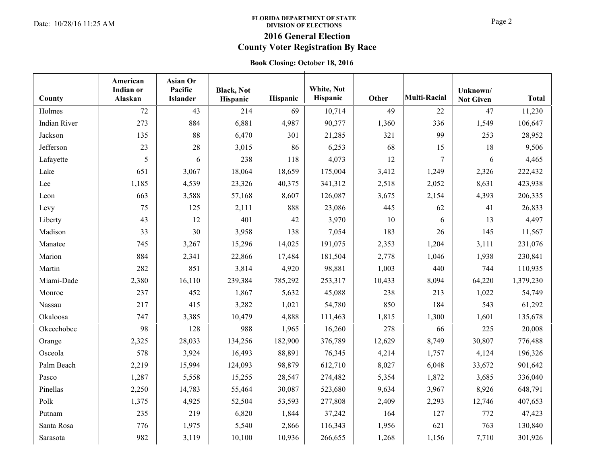### **FLORIDA DEPARTMENT OF STATE**  Date: 10/28/16 11:25 AM **Page 2 Date: 10/28/16 11:25 AM Page 2 DIVISION OF ELECTIONS DIVISION OF ELECTIONS**

# **2016 General Election**

## **County Voter Registration By Race**

### **Book Closing: October 18, 2016**

| County              | American<br><b>Indian or</b><br>Alaskan | Asian Or<br>Pacific<br><b>Islander</b> | <b>Black, Not</b><br>Hispanic | Hispanic | White, Not<br>Hispanic | Other  | <b>Multi-Racial</b> | Unknown/<br><b>Not Given</b> | <b>Total</b> |
|---------------------|-----------------------------------------|----------------------------------------|-------------------------------|----------|------------------------|--------|---------------------|------------------------------|--------------|
| Holmes              | 72                                      | 43                                     | 214                           | 69       | 10,714                 | 49     | 22                  | 47                           | 11,230       |
| <b>Indian River</b> | 273                                     | 884                                    | 6,881                         | 4,987    | 90,377                 | 1,360  | 336                 | 1,549                        | 106,647      |
| Jackson             | 135                                     | 88                                     | 6,470                         | 301      | 21,285                 | 321    | 99                  | 253                          | 28,952       |
| Jefferson           | 23                                      | 28                                     | 3,015                         | 86       | 6,253                  | 68     | 15                  | 18                           | 9,506        |
| Lafayette           | 5                                       | 6                                      | 238                           | 118      | 4,073                  | 12     | 7                   | 6                            | 4,465        |
| Lake                | 651                                     | 3,067                                  | 18,064                        | 18,659   | 175,004                | 3,412  | 1,249               | 2,326                        | 222,432      |
| Lee                 | 1,185                                   | 4,539                                  | 23,326                        | 40,375   | 341,312                | 2,518  | 2,052               | 8,631                        | 423,938      |
| Leon                | 663                                     | 3,588                                  | 57,168                        | 8,607    | 126,087                | 3,675  | 2,154               | 4,393                        | 206,335      |
| Levy                | 75                                      | 125                                    | 2,111                         | 888      | 23,086                 | 445    | 62                  | 41                           | 26,833       |
| Liberty             | 43                                      | 12                                     | 401                           | 42       | 3,970                  | 10     | 6                   | 13                           | 4,497        |
| Madison             | 33                                      | 30                                     | 3,958                         | 138      | 7,054                  | 183    | 26                  | 145                          | 11,567       |
| Manatee             | 745                                     | 3,267                                  | 15,296                        | 14,025   | 191,075                | 2,353  | 1,204               | 3,111                        | 231,076      |
| Marion              | 884                                     | 2,341                                  | 22,866                        | 17,484   | 181,504                | 2,778  | 1,046               | 1,938                        | 230,841      |
| Martin              | 282                                     | 851                                    | 3,814                         | 4,920    | 98,881                 | 1,003  | 440                 | 744                          | 110,935      |
| Miami-Dade          | 2,380                                   | 16,110                                 | 239,384                       | 785,292  | 253,317                | 10,433 | 8,094               | 64,220                       | 1,379,230    |
| Monroe              | 237                                     | 452                                    | 1,867                         | 5,632    | 45,088                 | 238    | 213                 | 1,022                        | 54,749       |
| Nassau              | 217                                     | 415                                    | 3,282                         | 1,021    | 54,780                 | 850    | 184                 | 543                          | 61,292       |
| Okaloosa            | 747                                     | 3,385                                  | 10,479                        | 4,888    | 111,463                | 1,815  | 1,300               | 1,601                        | 135,678      |
| Okeechobee          | 98                                      | 128                                    | 988                           | 1,965    | 16,260                 | 278    | 66                  | 225                          | 20,008       |
| Orange              | 2,325                                   | 28,033                                 | 134,256                       | 182,900  | 376,789                | 12,629 | 8,749               | 30,807                       | 776,488      |
| Osceola             | 578                                     | 3,924                                  | 16,493                        | 88,891   | 76,345                 | 4,214  | 1,757               | 4,124                        | 196,326      |
| Palm Beach          | 2,219                                   | 15,994                                 | 124,093                       | 98,879   | 612,710                | 8,027  | 6,048               | 33,672                       | 901,642      |
| Pasco               | 1,287                                   | 5,558                                  | 15,255                        | 28,547   | 274,482                | 5,354  | 1,872               | 3,685                        | 336,040      |
| Pinellas            | 2,250                                   | 14,783                                 | 55,464                        | 30,087   | 523,680                | 9,634  | 3,967               | 8,926                        | 648,791      |
| Polk                | 1,375                                   | 4,925                                  | 52,504                        | 53,593   | 277,808                | 2,409  | 2,293               | 12,746                       | 407,653      |
| Putnam              | 235                                     | 219                                    | 6,820                         | 1,844    | 37,242                 | 164    | 127                 | 772                          | 47,423       |
| Santa Rosa          | 776                                     | 1,975                                  | 5,540                         | 2,866    | 116,343                | 1,956  | 621                 | 763                          | 130,840      |
| Sarasota            | 982                                     | 3,119                                  | 10,100                        | 10,936   | 266,655                | 1,268  | 1,156               | 7,710                        | 301,926      |